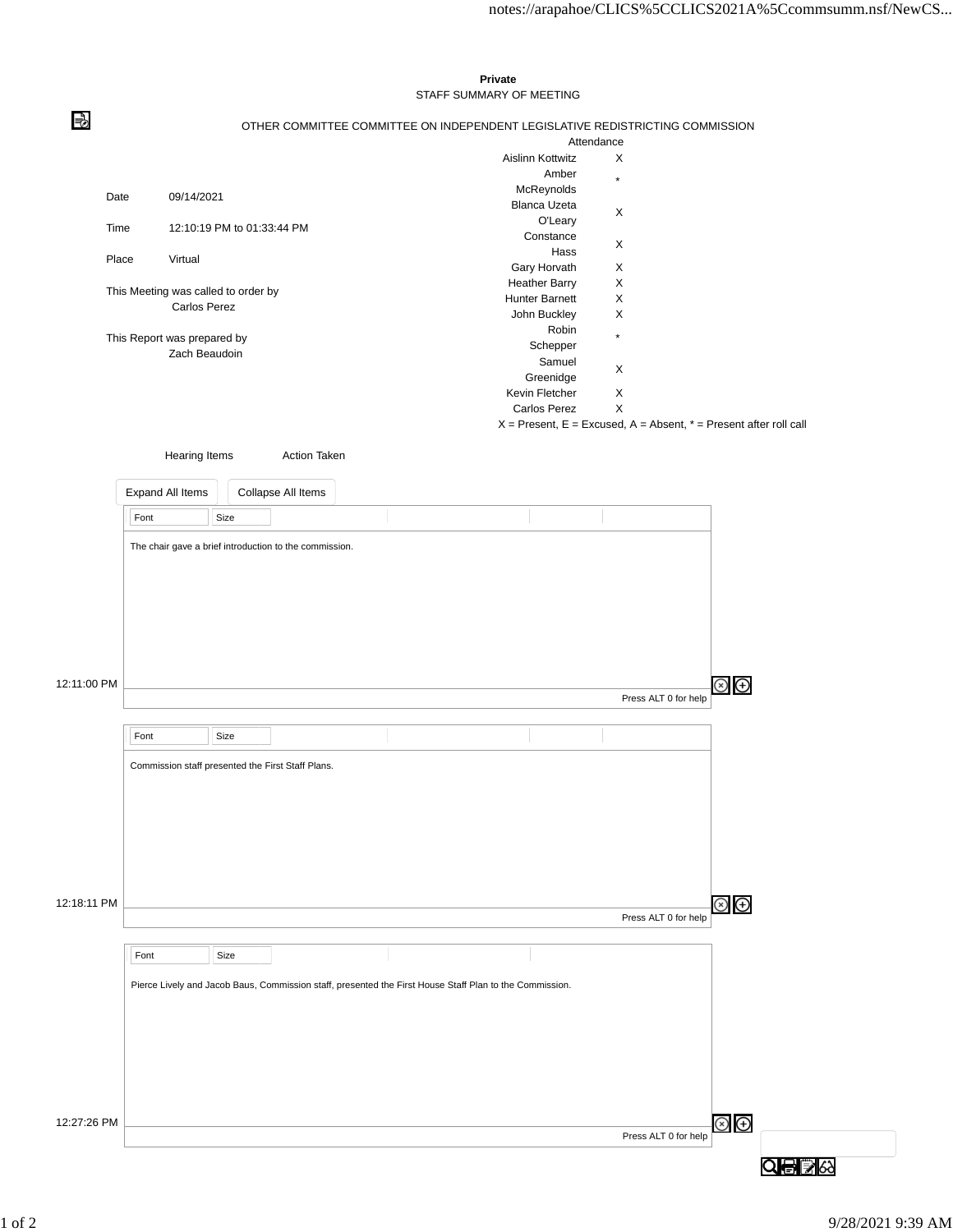## **Private** STAFF SUMMARY OF MEETING

OTHER COMMITTEE COMMITTEE ON INDEPENDENT LEGISLATIVE REDISTRICTING COMMISSION

|                                     |                             | <b>Aislinn Kottwitz</b> | Attendance<br>X<br>$\star$<br>X<br>X<br>X<br>X<br>X<br>X<br>$\star$ |
|-------------------------------------|-----------------------------|-------------------------|---------------------------------------------------------------------|
|                                     |                             | Amber                   |                                                                     |
| Date                                | 09/14/2021                  | McReynolds              |                                                                     |
|                                     |                             | <b>Blanca Uzeta</b>     |                                                                     |
| Time                                | 12:10:19 PM to 01:33:44 PM  | O'Leary                 |                                                                     |
|                                     |                             | Constance               |                                                                     |
| Place                               | Virtual                     | Hass                    | X<br>X<br>X                                                         |
|                                     |                             | Gary Horvath            |                                                                     |
| This Meeting was called to order by |                             | <b>Heather Barry</b>    |                                                                     |
|                                     | <b>Carlos Perez</b>         | <b>Hunter Barnett</b>   |                                                                     |
|                                     |                             | John Buckley            |                                                                     |
|                                     | This Report was prepared by | Robin                   |                                                                     |
|                                     | Zach Beaudoin               | Schepper                |                                                                     |
|                                     |                             | Samuel                  |                                                                     |
|                                     |                             | Greenidge               |                                                                     |
|                                     |                             | Kevin Fletcher          |                                                                     |
|                                     |                             | <b>Carlos Perez</b>     |                                                                     |

 $X =$  Present,  $E =$  Excused,  $A =$  Absent,  $* =$  Present after roll call

Hearing Items **Action Taken** 

⇛

|             | Expand All Items                                       |      | Collapse All Items |                                                                                                         |  |                      |                               |
|-------------|--------------------------------------------------------|------|--------------------|---------------------------------------------------------------------------------------------------------|--|----------------------|-------------------------------|
|             | Font                                                   | Size |                    |                                                                                                         |  |                      |                               |
|             | The chair gave a brief introduction to the commission. |      |                    |                                                                                                         |  |                      |                               |
| 12:11:00 PM |                                                        |      |                    |                                                                                                         |  | Press ALT 0 for help | $\circledast$                 |
|             | Font                                                   | Size |                    |                                                                                                         |  |                      |                               |
| 12:18:11 PM | Commission staff presented the First Staff Plans.      |      |                    |                                                                                                         |  |                      | $\circledcirc$ $\circledcirc$ |
|             |                                                        |      |                    |                                                                                                         |  | Press ALT 0 for help |                               |
|             | Font                                                   | Size |                    | Pierce Lively and Jacob Baus, Commission staff, presented the First House Staff Plan to the Commission. |  |                      |                               |
|             |                                                        |      |                    |                                                                                                         |  |                      |                               |
| 12:27:26 PM |                                                        |      |                    |                                                                                                         |  | Press ALT 0 for help | $\circledcirc$                |

Q日 26